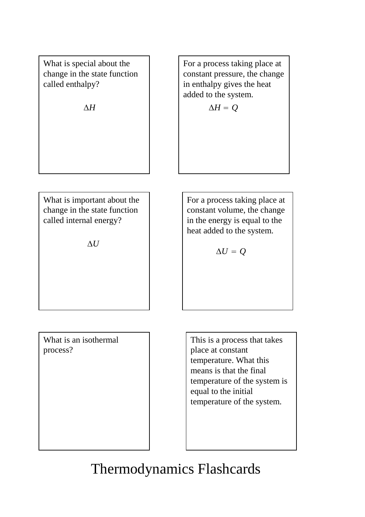What is special about the change in the state function called enthalpy?

What is important about the change in the state function called internal energy?

 $\Delta U$ 

What is an isothermal process?

For a process taking place at constant pressure, the change in enthalpy gives the heat added to the system.

 $\Delta H$   $\Delta H = Q$ 

For a process taking place at constant volume, the change in the energy is equal to the heat added to the system.

 $\Delta U = Q$ 

This is a process that takes place at constant temperature. What this means is that the final temperature of the system is equal to the initial temperature of the system.

# Thermodynamics Flashcards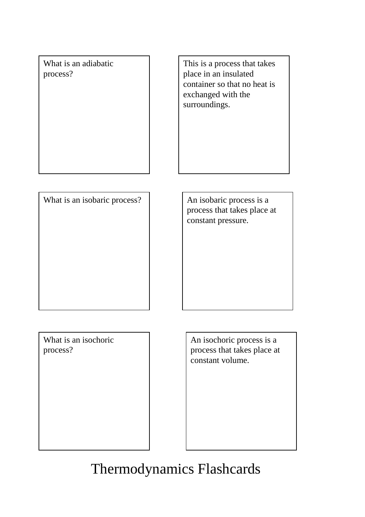What is an adiabatic process?

This is a process that takes place in an insulated container so that no heat is exchanged with the surroundings.

What is an isobaric process?  $\parallel$  An isobaric process is a

process that takes place at constant pressure.

What is an isochoric process?

An isochoric process is a process that takes place at constant volume.

# Thermodynamics Flashcards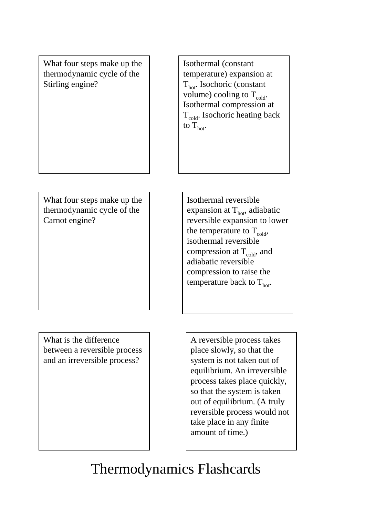What four steps make up the thermodynamic cycle of the Stirling engine?

What four steps make up the thermodynamic cycle of the Carnot engine?

What is the difference between a reversible process and an irreversible process?

Isothermal (constant temperature) expansion at  $T<sub>hot</sub>$ . Isochoric (constant volume) cooling to  $T_{\text{cold}}$ . Isothermal compression at  $T_{cold}$ . Isochoric heating back to  $T_{hot}$ .

Isothermal reversible expansion at  $T<sub>hot</sub>$ , adiabatic reversible expansion to lower the temperature to  $T_{\text{cold}}$ , isothermal reversible compression at  $T_{\text{cold}}$ , and adiabatic reversible compression to raise the temperature back to  $T_{hot}$ .

A reversible process takes place slowly, so that the system is not taken out of equilibrium. An irreversible process takes place quickly, so that the system is taken out of equilibrium. (A truly reversible process would not take place in any finite amount of time.)

# Thermodynamics Flashcards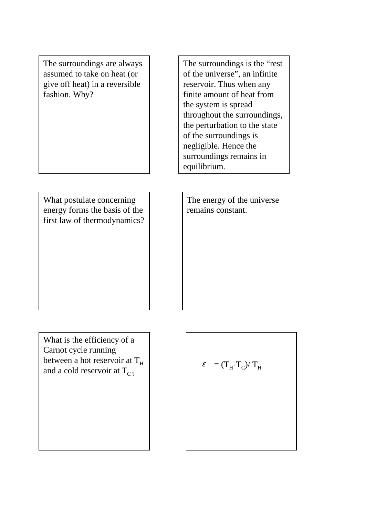The surroundings are always assumed to take on heat (or give off heat) in a reversible fashion. Why?

The surroundings is the "rest of the universe", an infinite reservoir. Thus when any finite amount of heat from the system is spread throughout the surroundings, the perturbation to the state of the surroundings is negligible. Hence the surroundings remains in equilibrium.

What postulate concerning energy forms the basis of the first law of thermodynamics? The energy of the universe remains constant.

What is the efficiency of a Carnot cycle running between a hot reservoir at  $\rm T_{\rm H}$ and a cold reservoir at  $T_{C}$ ?

$$
\varepsilon = (T_H - T_C) / T_H
$$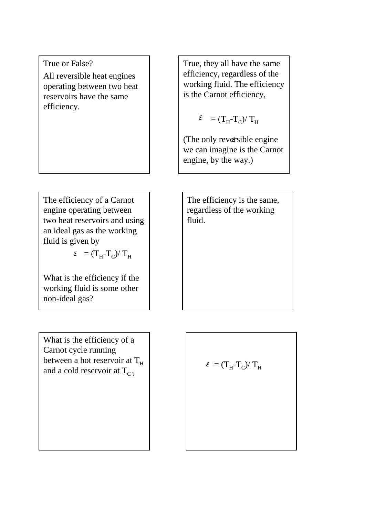True or False?

All reversible heat engines operating between two heat reservoirs have the same efficiency.

True, they all have the same efficiency, regardless of the working fluid. The efficiency is the Carnot efficiency,

$$
\varepsilon = (T_H - T_C) / T_H
$$

(The only reversible engine we can imagine is the Carnot engine, by the way.)

The efficiency of a Carnot engine operating between two heat reservoirs and using an ideal gas as the working fluid is given by

$$
\varepsilon = (T_H - T_C)/T_H
$$

What is the efficiency if the working fluid is some other non-ideal gas?

What is the efficiency of a Carnot cycle running between a hot reservoir at  $T_H$ and a cold reservoir at  $T_{C<sub>2</sub>}$ 

The efficiency is the same, regardless of the working fluid.

$$
\varepsilon\ = (T_H\text{-}T_C)/\,T_H
$$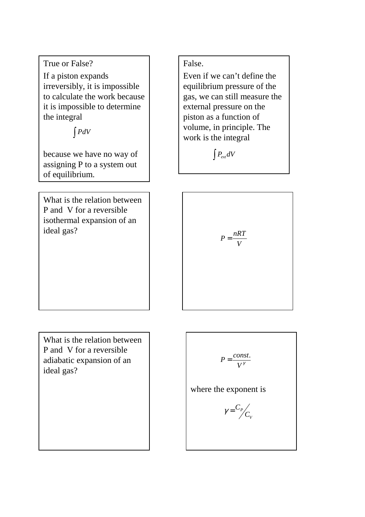True or False?

If a piston expands irreversibly, it is impossible to calculate the work because it is impossible to determine the integral

∫ *PdV*

because we have no way of assigning P to a system out of equilibrium.

What is the relation between P and V for a reversible isothermal expansion of an ideal gas?

False.

Even if we can't define the equilibrium pressure of the gas, we can still measure the external pressure on the piston as a function of volume, in principle. The work is the integral

∫ *PextdV*

*V*  $P = \frac{nRT}{N}$ 

What is the relation between P and V for a reversible adiabatic expansion of an ideal gas?

$$
P = \frac{const.}{V^{\gamma}}
$$

where the exponent is

$$
\gamma = \frac{C_P}{C_V}
$$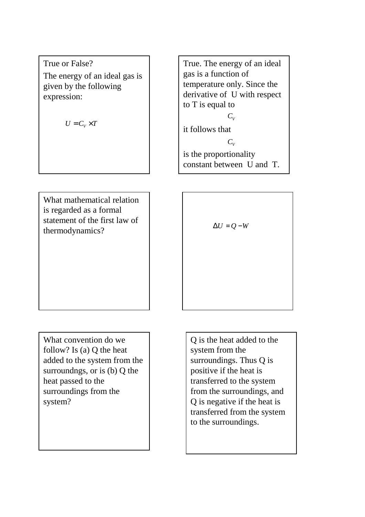True or False? The energy of an ideal gas is given by the following expression:

 $U = C_v \times T$ 

What mathematical relation is regarded as a formal statement of the first law of thermodynamics?

What convention do we follow? Is (a) Q the heat added to the system from the surroundngs, or is (b) Q the heat passed to the surroundings from the system?

True. The energy of an ideal gas is a function of temperature only. Since the derivative of U with respect to T is equal to  $C_v$ 

it follows that

is the proportionality constant between U and T.  $C_v$ 

$$
\Delta U = Q - W
$$

Q is the heat added to the system from the surroundings. Thus Q is positive if the heat is transferred to the system from the surroundings, and Q is negative if the heat is transferred from the system to the surroundings.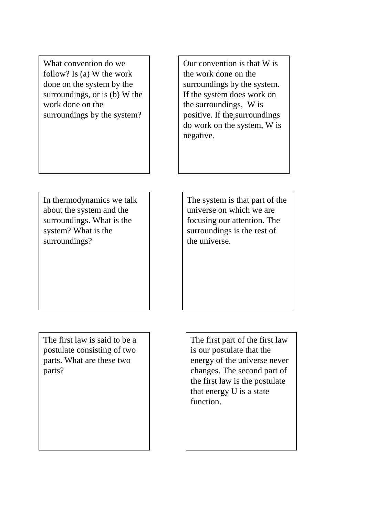What convention do we follow? Is (a) W the work done on the system by the surroundings, or is (b) W the work done on the surroundings by the system?

Our convention is that W is the work done on the surroundings by the system. If the system does work on the surroundings, W is positive. If the surroundings do work on the system, W is negative.

In thermodynamics we talk about the system and the surroundings. What is the system? What is the surroundings?

The system is that part of the universe on which we are focusing our attention. The surroundings is the rest of the universe.

The first law is said to be a postulate consisting of two parts. What are these two parts?

The first part of the first law is our postulate that the energy of the universe never changes. The second part of the first law is the postulate that energy U is a state function.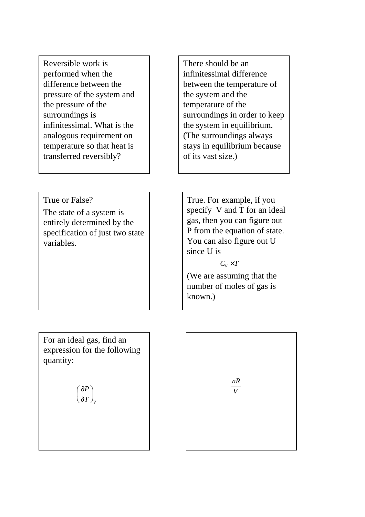Reversible work is performed when the difference between the pressure of the system and the pressure of the surroundings is infinitessimal. What is the analogous requirement on temperature so that heat is transferred reversibly?

True or False?

The state of a system is entirely determined by the specification of just two state variables.

For an ideal gas, find an expression for the following quantity:

$$
\left(\frac{\partial P}{\partial T}\right)_V
$$

There should be an infinitessimal difference between the temperature of the system and the temperature of the surroundings in order to keep the system in equilibrium. (The surroundings always stays in equilibrium because of its vast size.)

True. For example, if you specify V and T for an ideal gas, then you can figure out P from the equation of state. You can also figure out U since U is

 $C_v \times T$ 

(We are assuming that the number of moles of gas is known.)

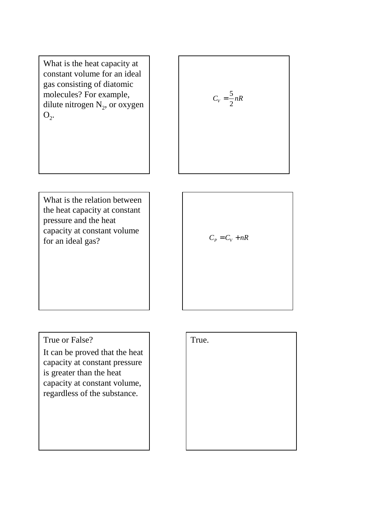What is the heat capacity at constant volume for an ideal gas consisting of diatomic molecules? For example, dilute nitrogen  $N_2$ , or oxygen  $O_2$ .

$$
C_V = \frac{5}{2} nR
$$

What is the relation between the heat capacity at constant pressure and the heat capacity at constant volume for an ideal gas?

$$
C_P = C_V + nR
$$

True or False?

It can be proved that the heat capacity at constant pressure is greater than the heat capacity at constant volume, regardless of the substance.

| True. |  |  |  |
|-------|--|--|--|
|       |  |  |  |
|       |  |  |  |
|       |  |  |  |
|       |  |  |  |
|       |  |  |  |
|       |  |  |  |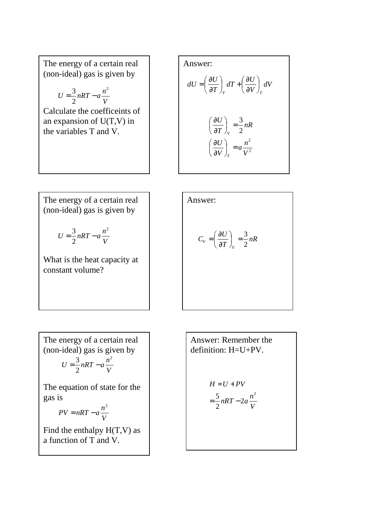The energy of a certain real (non-ideal) gas is given by

$$
U = \frac{3}{2} nRT - a\frac{n^2}{V}
$$

Calculate the coefficeints of an expansion of U(T,V) in the variables T and V.

The energy of a certain real (non-ideal) gas is given by

$$
U = \frac{3}{2} nRT - a\frac{n^2}{V}
$$

What is the heat capacity at constant volume?

The energy of a certain real (non-ideal) gas is given by *V*  $U = \frac{3}{2}nRT - a\frac{n}{t}$ 2 2  $=\frac{3}{2}nRT$  –

The equation of state for the gas is

$$
PV = nRT - a\frac{n^2}{V}
$$

Find the enthalpy  $H(T, V)$  as a function of T and V.

Answer:  
\n
$$
dU = \left(\frac{\partial U}{\partial T}\right)_V dT + \left(\frac{\partial U}{\partial V}\right)_T dV
$$
\n
$$
\left(\frac{\partial U}{\partial T}\right)_V = \frac{3}{2}nR
$$
\n
$$
\left(\frac{\partial U}{\partial V}\right)_T = a\frac{n^2}{V^2}
$$

Answer: *nR T*  $C_V = \frac{\partial U}{\partial x}$ *V*  $V = \left(\frac{\partial T}{\partial V}\right)_V = 2$  $\Big| = \frac{3}{2}$ J  $\left(\frac{\partial U}{\partial x}\right)$ l ſ ∂  $=\left(\frac{1}{2}\right)$ 

Answer: Remember the definition: H=U+PV.

$$
H = U + PV
$$
  
=  $\frac{5}{2}nRT - 2a\frac{n^2}{V}$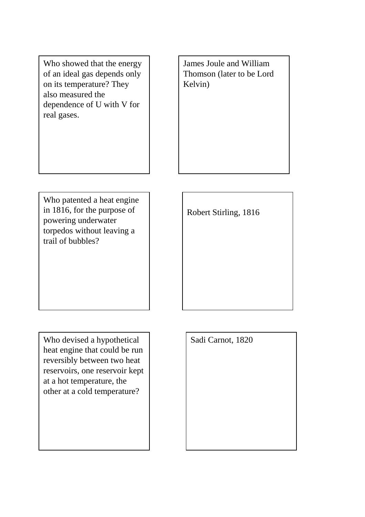Who showed that the energy of an ideal gas depends only on its temperature? They also measured the dependence of U with V for real gases.

James Joule and William Thomson (later to be Lord Kelvin)

Who patented a heat engine in 1816, for the purpose of powering underwater torpedos without leaving a trail of bubbles?

Robert Stirling, 1816

Who devised a hypothetical heat engine that could be run reversibly between two heat reservoirs, one reservoir kept at a hot temperature, the other at a cold temperature?

Sadi Carnot, 1820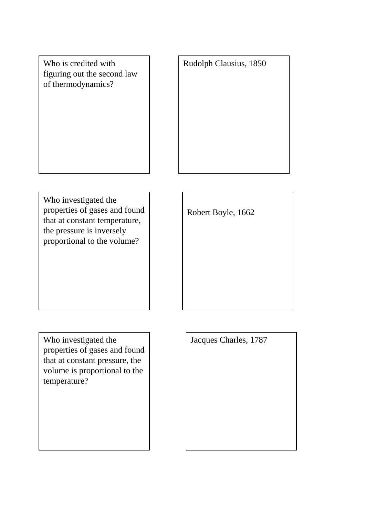Who is credited with Rudolph Clausius, 1850 figuring out the second law of thermodynamics?

Who investigated the properties of gases and found that at constant temperature, the pressure is inversely proportional to the volume?

Who investigated the properties of gases and found that at constant pressure, the volume is proportional to the temperature?

Robert Boyle, 1662

Jacques Charles, 1787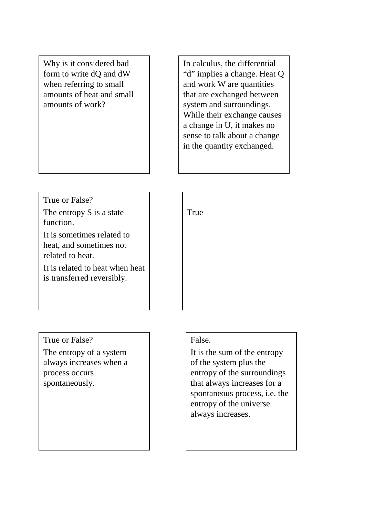Why is it considered bad form to write dQ and dW when referring to small amounts of heat and small amounts of work?

In calculus, the differential "d" implies a change. Heat Q and work W are quantities that are exchanged between system and surroundings. While their exchange causes a change in U, it makes no sense to talk about a change in the quantity exchanged.

True or False?

The entropy S is a state function.

It is sometimes related to heat, and sometimes not related to heat.

It is related to heat when heat is transferred reversibly.

True or False? The entropy of a system always increases when a process occurs spontaneously.

True

### False.

It is the sum of the entropy of the system plus the entropy of the surroundings that always increases for a spontaneous process, i.e. the entropy of the universe always increases.